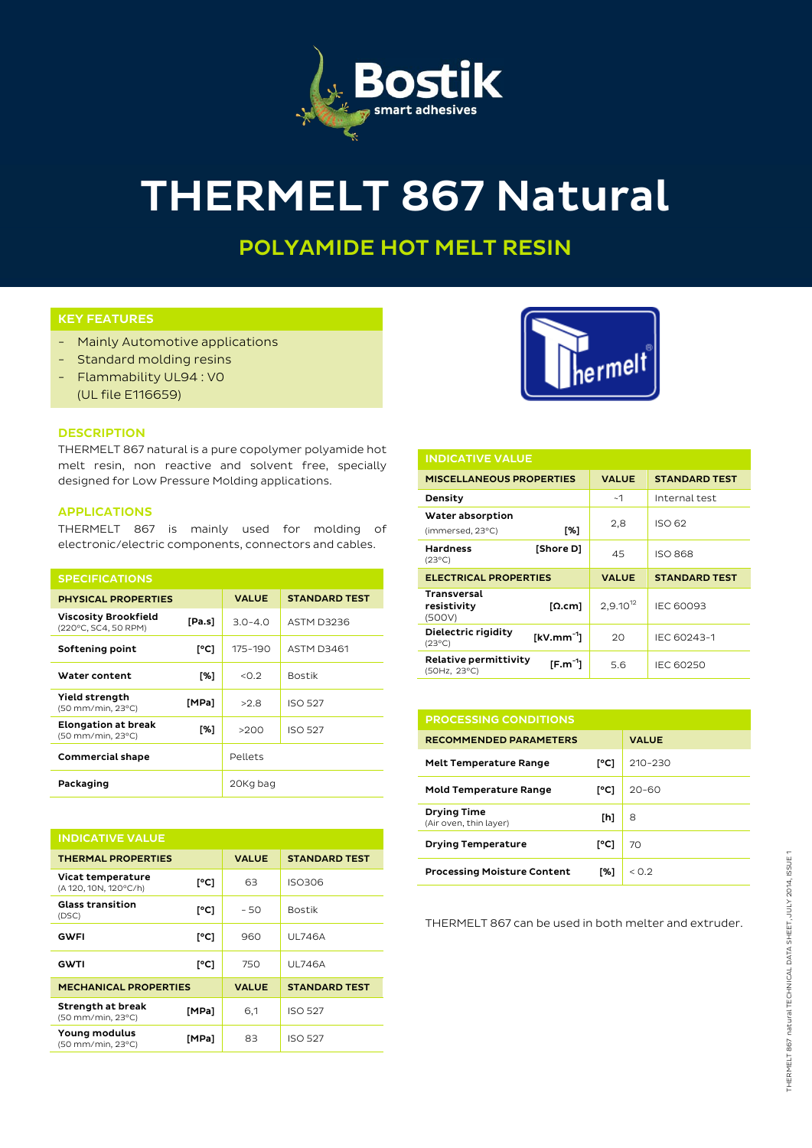

# THERMELT 867 Natural

# POLYAMIDE HOT MELT RESIN

## KEY FEATURES

- Mainly Automotive applications
- Standard molding resins
- Flammability UL94 : V0 (UL file E116659)



### **DESCRIPTION**

THERMELT 867 natural is a pure copolymer polyamide hot melt resin, non reactive and solvent free, specially designed for Low Pressure Molding applications.

#### APPLICATIONS

THERMELT 867 is mainly used for molding of electronic/electric components, connectors and cables.

| <b>SPECIFICATIONS</b>                               |        |              |                      |
|-----------------------------------------------------|--------|--------------|----------------------|
| <b>PHYSICAL PROPERTIES</b>                          |        | <b>VALUE</b> | <b>STANDARD TEST</b> |
| <b>Viscosity Brookfield</b><br>(220°C, SC4, 50 RPM) | [Pa.s] | $3.0 - 4.0$  | <b>ASTM D3236</b>    |
| Softening point                                     | [°C]   | 175-190      | <b>ASTM D3461</b>    |
| Water content                                       | [%]    | < 0.2        | <b>Bostik</b>        |
| Yield strength<br>(50 mm/min, 23°C)                 | [MPa]  | >2.8         | <b>ISO 527</b>       |
| <b>Elongation at break</b><br>(50 mm/min, 23°C)     | [%]    | >200         | <b>ISO 527</b>       |
| <b>Commercial shape</b>                             |        | Pellets      |                      |
| Packaging                                           |        | 20Kg bag     |                      |

| <b>INDICATIVE VALUE</b>                    |       |              |                      |  |  |
|--------------------------------------------|-------|--------------|----------------------|--|--|
| <b>THERMAL PROPERTIES</b>                  |       | <b>VALUE</b> | <b>STANDARD TEST</b> |  |  |
| Vicat temperature<br>(A 120, 10N, 120°C/h) | [°C]  | 63           | ISO306               |  |  |
| <b>Glass transition</b><br>(DSC)           | [°C]  | $-50$        | <b>Bostik</b>        |  |  |
| GWFI                                       | [°C]  | 960          | <b>UL746A</b>        |  |  |
| <b>GWTI</b>                                | [°C]  | 750          | <b>UL746A</b>        |  |  |
| <b>MECHANICAL PROPERTIES</b>               |       | <b>VALUE</b> | <b>STANDARD TEST</b> |  |  |
| Strength at break<br>(50 mm/min, 23°C)     | [MPa] | 6,1          | <b>ISO 527</b>       |  |  |
| Young modulus<br>(50 mm/min, 23°C)         | [MPa] | 83           | <b>ISO 527</b>       |  |  |



| <b>INDICATIVE VALUE</b>                                  |               |                      |  |  |  |
|----------------------------------------------------------|---------------|----------------------|--|--|--|
| <b>MISCELLANEOUS PROPERTIES</b>                          | <b>VALUE</b>  | <b>STANDARD TEST</b> |  |  |  |
| Density                                                  | ~1            | Internal test        |  |  |  |
| Water absorption<br>[%]<br>(immersed, 23°C)              | 2,8           | ISO 62               |  |  |  |
| <b>Hardness</b><br>[Shore D]<br>$(23^{\circ}C)$          | 45            | <b>ISO 868</b>       |  |  |  |
| <b>ELECTRICAL PROPERTIES</b>                             | <b>VALUE</b>  | <b>STANDARD TEST</b> |  |  |  |
| <b>Transversal</b><br>resistivity<br>[Ω.cm]<br>(500V)    | $2,9.10^{12}$ | IEC 60093            |  |  |  |
| Dielectric rigidity<br>$[kV/mm^{-1}]$<br>$(23^{\circ}C)$ | 20            | IEC 60243-1          |  |  |  |
| Relative permittivity<br>$[F.m-1]$<br>(50Hz, 23°C)       | 5.6           | <b>IEC 60250</b>     |  |  |  |

| <b>PROCESSING CONDITIONS</b>                 |      |              |
|----------------------------------------------|------|--------------|
| <b>RECOMMENDED PARAMETERS</b>                |      | <b>VALUE</b> |
| <b>Melt Temperature Range</b>                | [°C] | $210 - 230$  |
| <b>Mold Temperature Range</b>                | [°C] | $20 - 60$    |
| <b>Drying Time</b><br>(Air oven, thin layer) | [h]  | 8            |
| <b>Drying Temperature</b>                    | [°C] | 70           |
| <b>Processing Moisture Content</b>           | [%]  | < 0.2        |

THERMELT 867 can be used in both melter and extruder.